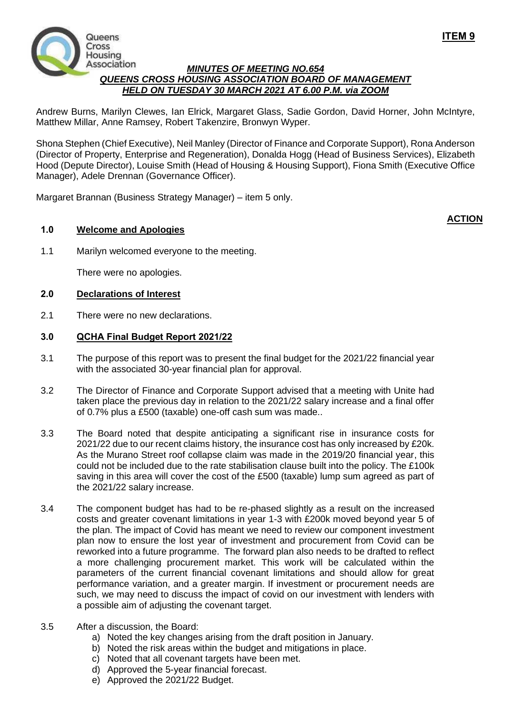

### *MINUTES OF MEETING NO.654 QUEENS CROSS HOUSING ASSOCIATION BOARD OF MANAGEMENT HELD ON TUESDAY 30 MARCH 2021 AT 6.00 P.M. via ZOOM*

Andrew Burns, Marilyn Clewes, Ian Elrick, Margaret Glass, Sadie Gordon, David Horner, John McIntyre, Matthew Millar, Anne Ramsey, Robert Takenzire, Bronwyn Wyper.

Shona Stephen (Chief Executive), Neil Manley (Director of Finance and Corporate Support), Rona Anderson (Director of Property, Enterprise and Regeneration), Donalda Hogg (Head of Business Services), Elizabeth Hood (Depute Director), Louise Smith (Head of Housing & Housing Support), Fiona Smith (Executive Office Manager), Adele Drennan (Governance Officer).

Margaret Brannan (Business Strategy Manager) – item 5 only.

## **1.0 Welcome and Apologies**

# **ACTION**

**ITEM 9**

1.1 Marilyn welcomed everyone to the meeting.

There were no apologies.

#### **2.0 Declarations of Interest**

2.1 There were no new declarations.

### **3.0 QCHA Final Budget Report 2021/22**

- 3.1 The purpose of this report was to present the final budget for the 2021/22 financial year with the associated 30-year financial plan for approval.
- 3.2 The Director of Finance and Corporate Support advised that a meeting with Unite had taken place the previous day in relation to the 2021/22 salary increase and a final offer of 0.7% plus a £500 (taxable) one-off cash sum was made..
- 3.3 The Board noted that despite anticipating a significant rise in insurance costs for 2021/22 due to our recent claims history, the insurance cost has only increased by £20k. As the Murano Street roof collapse claim was made in the 2019/20 financial year, this could not be included due to the rate stabilisation clause built into the policy. The £100k saving in this area will cover the cost of the £500 (taxable) lump sum agreed as part of the 2021/22 salary increase.
- 3.4 The component budget has had to be re-phased slightly as a result on the increased costs and greater covenant limitations in year 1-3 with £200k moved beyond year 5 of the plan. The impact of Covid has meant we need to review our component investment plan now to ensure the lost year of investment and procurement from Covid can be reworked into a future programme. The forward plan also needs to be drafted to reflect a more challenging procurement market. This work will be calculated within the parameters of the current financial covenant limitations and should allow for great performance variation, and a greater margin. If investment or procurement needs are such, we may need to discuss the impact of covid on our investment with lenders with a possible aim of adjusting the covenant target.
- 3.5 After a discussion, the Board:
	- a) Noted the key changes arising from the draft position in January.
	- b) Noted the risk areas within the budget and mitigations in place.
	- c) Noted that all covenant targets have been met.
	- d) Approved the 5-year financial forecast.
	- e) Approved the 2021/22 Budget.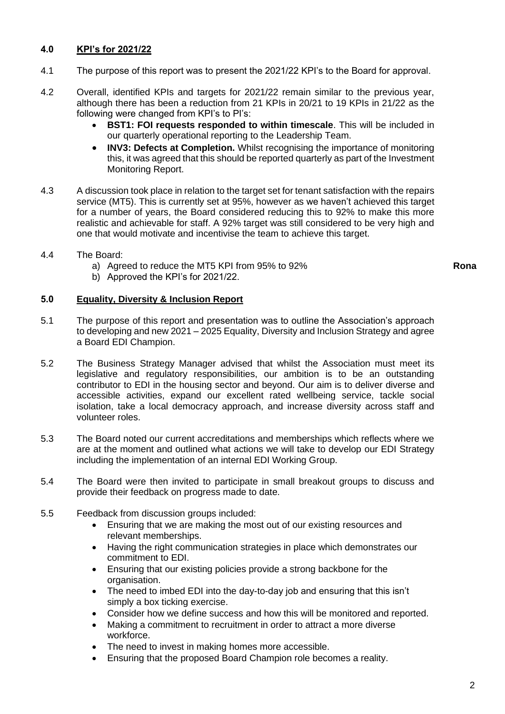# **4.0 KPI's for 2021/22**

- 4.1 The purpose of this report was to present the 2021/22 KPI's to the Board for approval.
- 4.2 Overall, identified KPIs and targets for 2021/22 remain similar to the previous year, although there has been a reduction from 21 KPIs in 20/21 to 19 KPIs in 21/22 as the following were changed from KPI's to PI's:
	- **BST1: FOI requests responded to within timescale**. This will be included in our quarterly operational reporting to the Leadership Team.
	- **INV3: Defects at Completion.** Whilst recognising the importance of monitoring this, it was agreed that this should be reported quarterly as part of the Investment Monitoring Report.
- 4.3 A discussion took place in relation to the target set for tenant satisfaction with the repairs service (MT5). This is currently set at 95%, however as we haven't achieved this target for a number of years, the Board considered reducing this to 92% to make this more realistic and achievable for staff. A 92% target was still considered to be very high and one that would motivate and incentivise the team to achieve this target.
- 4.4 The Board:
	- a) Agreed to reduce the MT5 KPI from 95% to 92%
	- b) Approved the KPI's for 2021/22.

#### **5.0 Equality, Diversity & Inclusion Report**

- 5.1 The purpose of this report and presentation was to outline the Association's approach to developing and new 2021 – 2025 Equality, Diversity and Inclusion Strategy and agree a Board EDI Champion.
- 5.2 The Business Strategy Manager advised that whilst the Association must meet its legislative and regulatory responsibilities, our ambition is to be an outstanding contributor to EDI in the housing sector and beyond. Our aim is to deliver diverse and accessible activities, expand our excellent rated wellbeing service, tackle social isolation, take a local democracy approach, and increase diversity across staff and volunteer roles.
- 5.3 The Board noted our current accreditations and memberships which reflects where we are at the moment and outlined what actions we will take to develop our EDI Strategy including the implementation of an internal EDI Working Group.
- 5.4 The Board were then invited to participate in small breakout groups to discuss and provide their feedback on progress made to date.
- 5.5 Feedback from discussion groups included:
	- Ensuring that we are making the most out of our existing resources and relevant memberships.
	- Having the right communication strategies in place which demonstrates our commitment to EDI.
	- Ensuring that our existing policies provide a strong backbone for the organisation.
	- The need to imbed EDI into the day-to-day job and ensuring that this isn't simply a box ticking exercise.
	- Consider how we define success and how this will be monitored and reported.
	- Making a commitment to recruitment in order to attract a more diverse workforce.
	- The need to invest in making homes more accessible.
	- Ensuring that the proposed Board Champion role becomes a reality.

**Rona**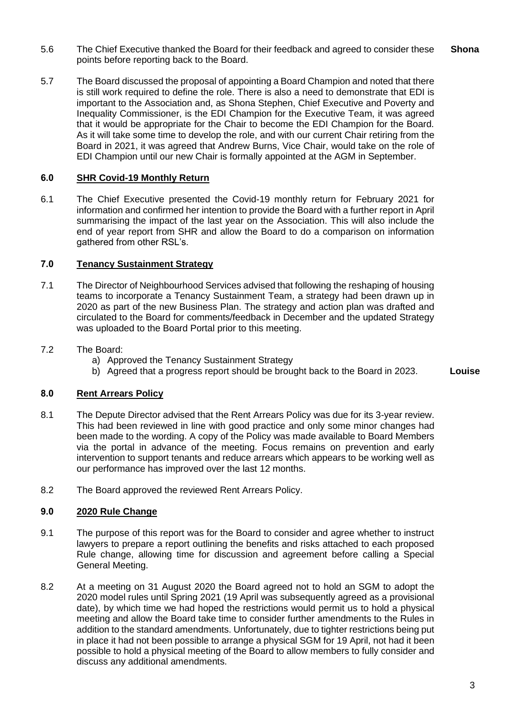- 5.6 The Chief Executive thanked the Board for their feedback and agreed to consider these points before reporting back to the Board. **Shona**
- 5.7 The Board discussed the proposal of appointing a Board Champion and noted that there is still work required to define the role. There is also a need to demonstrate that EDI is important to the Association and, as Shona Stephen, Chief Executive and Poverty and Inequality Commissioner, is the EDI Champion for the Executive Team, it was agreed that it would be appropriate for the Chair to become the EDI Champion for the Board. As it will take some time to develop the role, and with our current Chair retiring from the Board in 2021, it was agreed that Andrew Burns, Vice Chair, would take on the role of EDI Champion until our new Chair is formally appointed at the AGM in September.

#### **6.0 SHR Covid-19 Monthly Return**

6.1 The Chief Executive presented the Covid-19 monthly return for February 2021 for information and confirmed her intention to provide the Board with a further report in April summarising the impact of the last year on the Association. This will also include the end of year report from SHR and allow the Board to do a comparison on information gathered from other RSL's.

#### **7.0 Tenancy Sustainment Strategy**

- 7.1 The Director of Neighbourhood Services advised that following the reshaping of housing teams to incorporate a Tenancy Sustainment Team, a strategy had been drawn up in 2020 as part of the new Business Plan. The strategy and action plan was drafted and circulated to the Board for comments/feedback in December and the updated Strategy was uploaded to the Board Portal prior to this meeting.
- 7.2 The Board:
	- a) Approved the Tenancy Sustainment Strategy
	- b) Agreed that a progress report should be brought back to the Board in 2023. **Louise**

# **8.0 Rent Arrears Policy**

- 8.1 The Depute Director advised that the Rent Arrears Policy was due for its 3-year review. This had been reviewed in line with good practice and only some minor changes had been made to the wording. A copy of the Policy was made available to Board Members via the portal in advance of the meeting. Focus remains on prevention and early intervention to support tenants and reduce arrears which appears to be working well as our performance has improved over the last 12 months.
- 8.2 The Board approved the reviewed Rent Arrears Policy.

# **9.0 2020 Rule Change**

- 9.1 The purpose of this report was for the Board to consider and agree whether to instruct lawyers to prepare a report outlining the benefits and risks attached to each proposed Rule change, allowing time for discussion and agreement before calling a Special General Meeting.
- 8.2 At a meeting on 31 August 2020 the Board agreed not to hold an SGM to adopt the 2020 model rules until Spring 2021 (19 April was subsequently agreed as a provisional date), by which time we had hoped the restrictions would permit us to hold a physical meeting and allow the Board take time to consider further amendments to the Rules in addition to the standard amendments. Unfortunately, due to tighter restrictions being put in place it had not been possible to arrange a physical SGM for 19 April, not had it been possible to hold a physical meeting of the Board to allow members to fully consider and discuss any additional amendments.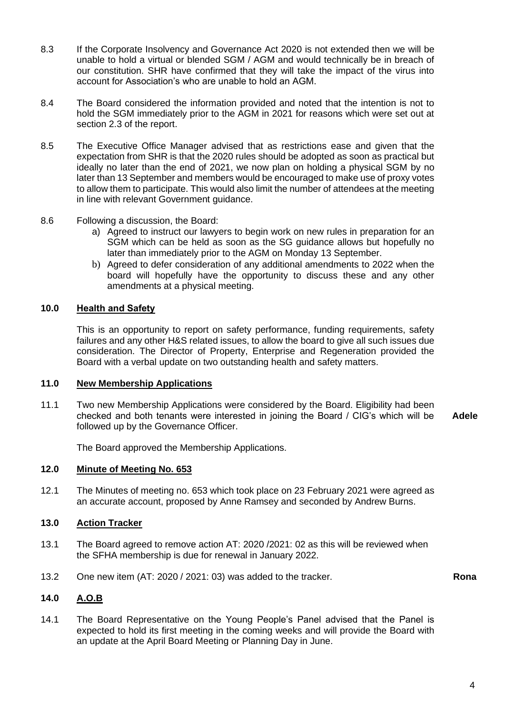- 8.3 If the Corporate Insolvency and Governance Act 2020 is not extended then we will be unable to hold a virtual or blended SGM / AGM and would technically be in breach of our constitution. SHR have confirmed that they will take the impact of the virus into account for Association's who are unable to hold an AGM.
- 8.4 The Board considered the information provided and noted that the intention is not to hold the SGM immediately prior to the AGM in 2021 for reasons which were set out at section 2.3 of the report.
- 8.5 The Executive Office Manager advised that as restrictions ease and given that the expectation from SHR is that the 2020 rules should be adopted as soon as practical but ideally no later than the end of 2021, we now plan on holding a physical SGM by no later than 13 September and members would be encouraged to make use of proxy votes to allow them to participate. This would also limit the number of attendees at the meeting in line with relevant Government guidance.
- 8.6 Following a discussion, the Board:
	- a) Agreed to instruct our lawyers to begin work on new rules in preparation for an SGM which can be held as soon as the SG guidance allows but hopefully no later than immediately prior to the AGM on Monday 13 September.
	- b) Agreed to defer consideration of any additional amendments to 2022 when the board will hopefully have the opportunity to discuss these and any other amendments at a physical meeting.

# **10.0 Health and Safety**

This is an opportunity to report on safety performance, funding requirements, safety failures and any other H&S related issues, to allow the board to give all such issues due consideration. The Director of Property, Enterprise and Regeneration provided the Board with a verbal update on two outstanding health and safety matters.

#### **11.0 New Membership Applications**

11.1 Two new Membership Applications were considered by the Board. Eligibility had been checked and both tenants were interested in joining the Board / CIG's which will be followed up by the Governance Officer. **Adele**

The Board approved the Membership Applications.

### **12.0 Minute of Meeting No. 653**

12.1 The Minutes of meeting no. 653 which took place on 23 February 2021 were agreed as an accurate account, proposed by Anne Ramsey and seconded by Andrew Burns.

# **13.0 Action Tracker**

- 13.1 The Board agreed to remove action AT: 2020 /2021: 02 as this will be reviewed when the SFHA membership is due for renewal in January 2022.
- 13.2 One new item (AT: 2020 / 2021: 03) was added to the tracker. **Rona**

# **14.0 A.O.B**

14.1 The Board Representative on the Young People's Panel advised that the Panel is expected to hold its first meeting in the coming weeks and will provide the Board with an update at the April Board Meeting or Planning Day in June.